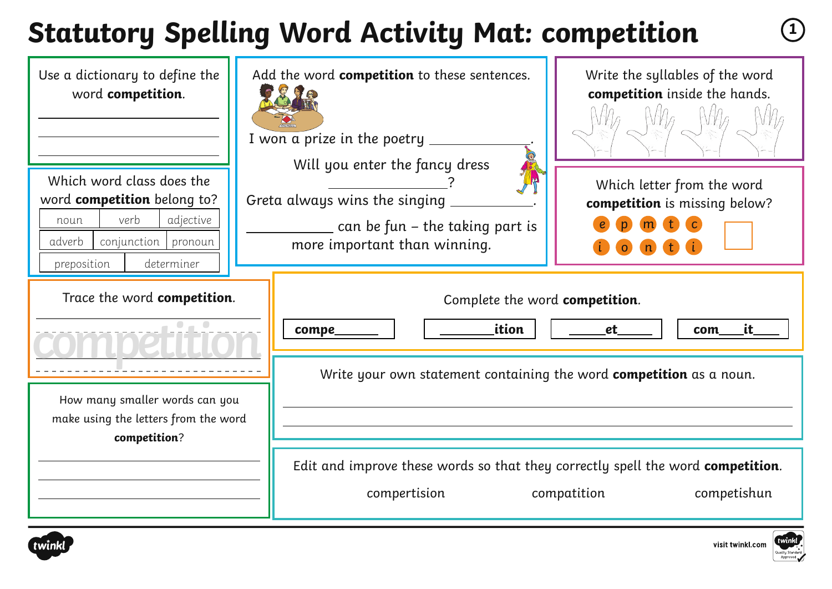# **Statutory Spelling Word Activity Mat: competition <sup>1</sup>**

| Use a dictionary to define the<br>word competition.<br>Which word class does the<br>word competition belong to? | Add the word competition to these sentences.<br>I won a prize in the poetry $\overline{\phantom{a}}$<br>Will you enter the fancy dress<br>Greta always wins the singing | Write the syllables of the word<br>competition inside the hands.<br>Which letter from the word<br>competition is missing below? |
|-----------------------------------------------------------------------------------------------------------------|-------------------------------------------------------------------------------------------------------------------------------------------------------------------------|---------------------------------------------------------------------------------------------------------------------------------|
| verb<br>adjective<br>noun<br>conjunction  <br>adverb<br>pronoun<br>preposition<br>determiner                    | $\_$ can be fun – the taking part is<br>more important than winning.                                                                                                    |                                                                                                                                 |
| Trace the word competition.<br>$\bullet$ $\bullet$                                                              | Complete the word competition.<br>ition<br>compe                                                                                                                        | it.<br>et<br>com                                                                                                                |
| How many smaller words can you<br>make using the letters from the word<br>competition?                          | Write your own statement containing the word competition as a noun.                                                                                                     |                                                                                                                                 |
|                                                                                                                 | Edit and improve these words so that they correctly spell the word competition.<br>compertision                                                                         | competishun<br>compatition                                                                                                      |



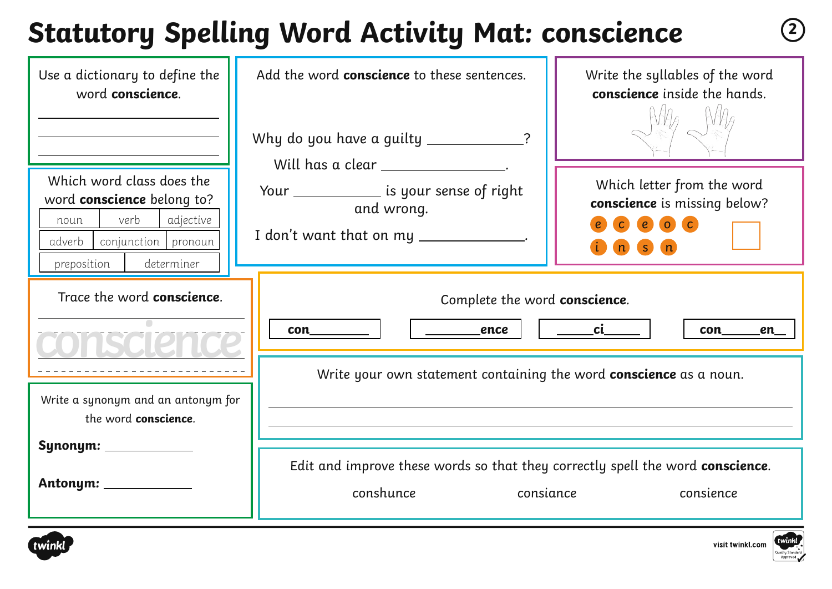## **Statutory Spelling Word Activity Mat: conscience <sup>2</sup>**

| Use a dictionary to define the<br>word conscience.                                                                                                          | Add the word conscience to these sentences.<br>Why do you have a guilty ____________                                                       | Write the syllables of the word<br>conscience inside the hands.                                             |  |
|-------------------------------------------------------------------------------------------------------------------------------------------------------------|--------------------------------------------------------------------------------------------------------------------------------------------|-------------------------------------------------------------------------------------------------------------|--|
| Which word class does the<br>word <b>conscience</b> belong to?<br>verb<br>adjective<br>noun<br>adverb  <br>conjunction pronoun<br>determiner<br>preposition | Will has a clear _________________.<br>Your _______________ is your sense of right<br>and wrong.<br>I don't want that on my _____________. | Which letter from the word<br>conscience is missing below?<br>$\epsilon$<br>$\circ$ $\circ$<br>$\mathbf{s}$ |  |
| Trace the word conscience.                                                                                                                                  | Complete the word conscience.<br>______________ence<br>con                                                                                 | ___________ci__<br>con<br><u>en_</u>                                                                        |  |
| Write a synonym and an antonym for<br>the word conscience.                                                                                                  | Write your own statement containing the word <b>conscience</b> as a noun.                                                                  |                                                                                                             |  |
| Synonym: ____________<br>Antonym: _____________                                                                                                             | Edit and improve these words so that they correctly spell the word conscience.<br>conshunce<br>consiance<br>consience                      |                                                                                                             |  |



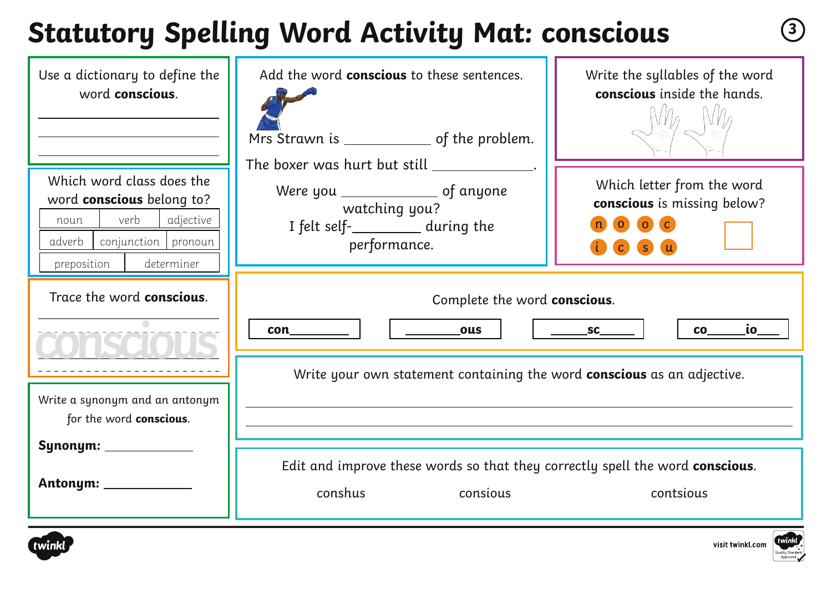## **Statutory Spelling Word Activity Mat: conscious <sup>3</sup>**

| Use a dictionary to define the<br>word conscious.                                                                                                 | Add the word conscious to these sentences.<br>Mrs Strawn is _______________ of the problem.                                                                     | Write the syllables of the word<br>conscious inside the hands.                                                                  |
|---------------------------------------------------------------------------------------------------------------------------------------------------|-----------------------------------------------------------------------------------------------------------------------------------------------------------------|---------------------------------------------------------------------------------------------------------------------------------|
| Which word class does the<br>word conscious belong to?<br>verb<br>adjective<br>noun<br>adverb<br>conjunction pronoun<br>determiner<br>preposition | The boxer was hurt but still _____________.<br>Were you _______________________ of anyone<br>watching you?<br>I felt self-__________ during the<br>performance. | Which letter from the word<br>conscious is missing below?<br>$\begin{pmatrix} 0 & 0 & C \end{pmatrix}$<br><b>S</b><br>$\bullet$ |
| Trace the word <b>conscious</b> .                                                                                                                 | Complete the word conscious.<br>ous<br>con                                                                                                                      | $\overline{\text{io}_{--}}$<br>$S_{\mathsf{C}}$<br><b>CO</b>                                                                    |
| Write a synonym and an antonym<br>for the word conscious.                                                                                         | Write your own statement containing the word conscious as an adjective.                                                                                         |                                                                                                                                 |
| Synonym: ____________<br>Antonym: _____________                                                                                                   | Edit and improve these words so that they correctly spell the word conscious.<br>conshus<br>consious                                                            | contsious                                                                                                                       |



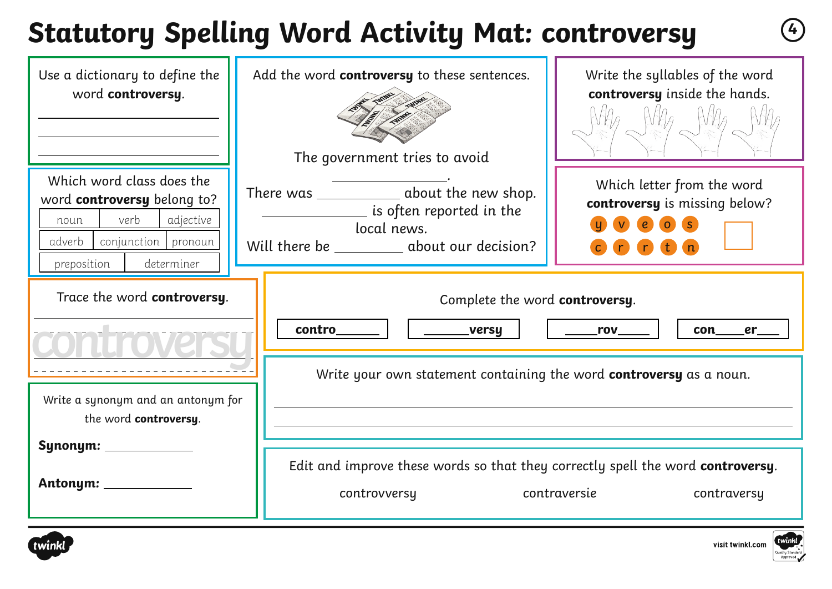# **Statutory Spelling Word Activity Mat: controversy <sup>4</sup>**

| Use a dictionary to define the<br>word controversy.                                                                                                   | Add the word controversy to these sentences.<br>The government tries to avoid                                                            | Write the syllables of the word<br>controversy inside the hands.                                     |
|-------------------------------------------------------------------------------------------------------------------------------------------------------|------------------------------------------------------------------------------------------------------------------------------------------|------------------------------------------------------------------------------------------------------|
| Which word class does the<br>word controversy belong to?<br>verb<br>adjective<br>noun<br>adverb<br>conjunction   pronoun<br>determiner<br>preposition | There was ______________ about the new shop.<br>is often reported in the<br>local news.<br>Will there be ___________ about our decision? | Which letter from the word<br>controversy is missing below?<br>$\epsilon$<br>$\bullet$<br><b>n</b> n |
| Trace the word controversy.                                                                                                                           | Complete the word controversy.<br>contro<br>____versy<br>Write your own statement containing the word controversy as a noun.             | $\_\_$ rov $\_\_$<br>con                                                                             |
| Write a synonym and an antonym for<br>the word controversy.<br>Synonym: ___________<br>Antonym: __________                                            | Edit and improve these words so that they correctly spell the word controversy.<br>controvversy                                          | contraversie<br>contraversy                                                                          |